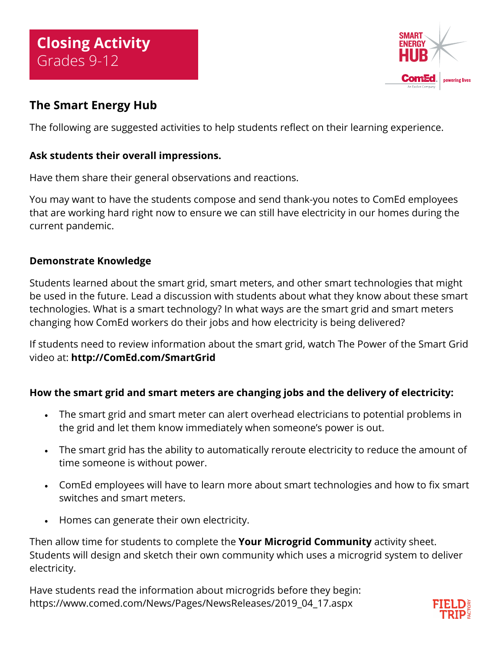

# **The Smart Energy Hub**

The following are suggested activities to help students reflect on their learning experience.

## **Ask students their overall impressions.**

Have them share their general observations and reactions.

You may want to have the students compose and send thank-you notes to ComEd employees that are working hard right now to ensure we can still have electricity in our homes during the current pandemic.

### **Demonstrate Knowledge**

Students learned about the smart grid, smart meters, and other smart technologies that might be used in the future. Lead a discussion with students about what they know about these smart technologies. What is a smart technology? In what ways are the smart grid and smart meters changing how ComEd workers do their jobs and how electricity is being delivered?

If students need to review information about the smart grid, watch The Power of the Smart Grid video at: **<http://ComEd.com/SmartGrid>**

## **How the smart grid and smart meters are changing jobs and the delivery of electricity:**

- The smart grid and smart meter can alert overhead electricians to potential problems in the grid and let them know immediately when someone's power is out.
- The smart grid has the ability to automatically reroute electricity to reduce the amount of time someone is without power.
- ComEd employees will have to learn more about smart technologies and how to fix smart switches and smart meters.
- Homes can generate their own electricity.

Then allow time for students to complete the **Your Microgrid Community** activity sheet. Students will design and sketch their own community which uses a microgrid system to deliver electricity.

Have students read the information about microgrids before they begin: https://www.comed.com/News/Pages/NewsReleases/2019\_04\_17.aspx